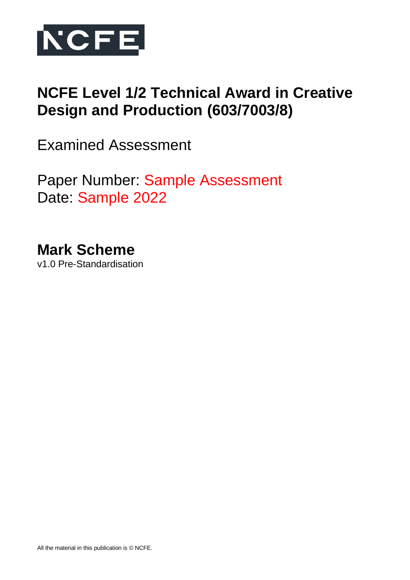

# **NCFE Level 1/2 Technical Award in Creative Design and Production (603/7003/8)**

Examined Assessment

Paper Number: Sample Assessment Date: Sample 2022

**Mark Scheme** v1.0 Pre-Standardisation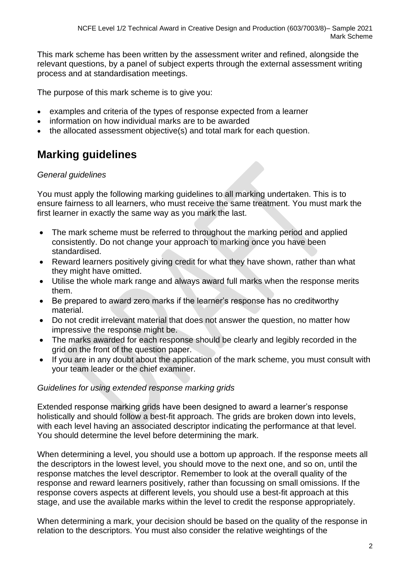This mark scheme has been written by the assessment writer and refined, alongside the relevant questions, by a panel of subject experts through the external assessment writing process and at standardisation meetings.

The purpose of this mark scheme is to give you:

- examples and criteria of the types of response expected from a learner
- information on how individual marks are to be awarded
- the allocated assessment objective(s) and total mark for each question.

# **Marking guidelines**

### *General guidelines*

You must apply the following marking guidelines to all marking undertaken. This is to ensure fairness to all learners, who must receive the same treatment. You must mark the first learner in exactly the same way as you mark the last.

- The mark scheme must be referred to throughout the marking period and applied consistently. Do not change your approach to marking once you have been standardised.
- Reward learners positively giving credit for what they have shown, rather than what they might have omitted.
- Utilise the whole mark range and always award full marks when the response merits them.
- Be prepared to award zero marks if the learner's response has no creditworthy material.
- Do not credit irrelevant material that does not answer the question, no matter how impressive the response might be.
- The marks awarded for each response should be clearly and legibly recorded in the grid on the front of the question paper.
- If you are in any doubt about the application of the mark scheme, you must consult with your team leader or the chief examiner.

## *Guidelines for using extended response marking grids*

Extended response marking grids have been designed to award a learner's response holistically and should follow a best-fit approach. The grids are broken down into levels, with each level having an associated descriptor indicating the performance at that level. You should determine the level before determining the mark.

When determining a level, you should use a bottom up approach. If the response meets all the descriptors in the lowest level, you should move to the next one, and so on, until the response matches the level descriptor. Remember to look at the overall quality of the response and reward learners positively, rather than focussing on small omissions. If the response covers aspects at different levels, you should use a best-fit approach at this stage, and use the available marks within the level to credit the response appropriately.

When determining a mark, your decision should be based on the quality of the response in relation to the descriptors. You must also consider the relative weightings of the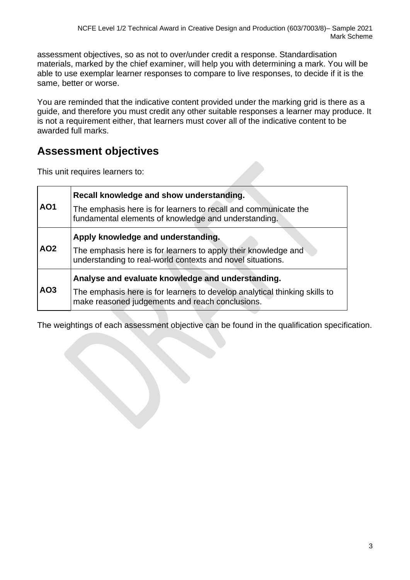assessment objectives, so as not to over/under credit a response. Standardisation materials, marked by the chief examiner, will help you with determining a mark. You will be able to use exemplar learner responses to compare to live responses, to decide if it is the same, better or worse.

You are reminded that the indicative content provided under the marking grid is there as a guide, and therefore you must credit any other suitable responses a learner may produce. It is not a requirement either, that learners must cover all of the indicative content to be awarded full marks.

# **Assessment objectives**

This unit requires learners to:

|                 | Recall knowledge and show understanding.                                                                                      |
|-----------------|-------------------------------------------------------------------------------------------------------------------------------|
| AO <sub>1</sub> | The emphasis here is for learners to recall and communicate the<br>fundamental elements of knowledge and understanding.       |
|                 | Apply knowledge and understanding.                                                                                            |
| AO <sub>2</sub> | The emphasis here is for learners to apply their knowledge and<br>understanding to real-world contexts and novel situations.  |
|                 | Analyse and evaluate knowledge and understanding.                                                                             |
| AO <sub>3</sub> | The emphasis here is for learners to develop analytical thinking skills to<br>make reasoned judgements and reach conclusions. |

The weightings of each assessment objective can be found in the qualification specification.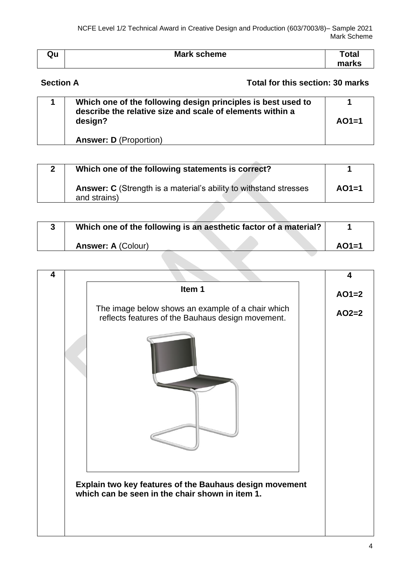| Qu | <b>Mark scheme</b> | otal <sup>.</sup> |
|----|--------------------|-------------------|
|    |                    | marke<br>nэ       |

# **Section A** Total for this section: 30 marks

| Which one of the following design principles is best used to<br>describe the relative size and scale of elements within a<br>design? | $AO1=1$ |
|--------------------------------------------------------------------------------------------------------------------------------------|---------|
| <b>Answer: D</b> (Proportion)                                                                                                        |         |

| 2 | Which one of the following statements is correct?                                        |         |
|---|------------------------------------------------------------------------------------------|---------|
|   | <b>Answer: C</b> (Strength is a material's ability to withstand stresses<br>and strains) | $AO1=1$ |

| Which one of the following is an aesthetic factor of a material? |         |
|------------------------------------------------------------------|---------|
| <b>Answer: A (Colour)</b>                                        | $AO1=1$ |

| 4 | Item 1                                                                                                 | 4       |
|---|--------------------------------------------------------------------------------------------------------|---------|
|   |                                                                                                        | $AO1=2$ |
|   | The image below shows an example of a chair which<br>reflects features of the Bauhaus design movement. | $AO2=2$ |
|   |                                                                                                        |         |
|   |                                                                                                        |         |
|   |                                                                                                        |         |
|   | Explain two key features of the Bauhaus design movement                                                |         |
|   | which can be seen in the chair shown in item 1.                                                        |         |
|   |                                                                                                        |         |
|   |                                                                                                        |         |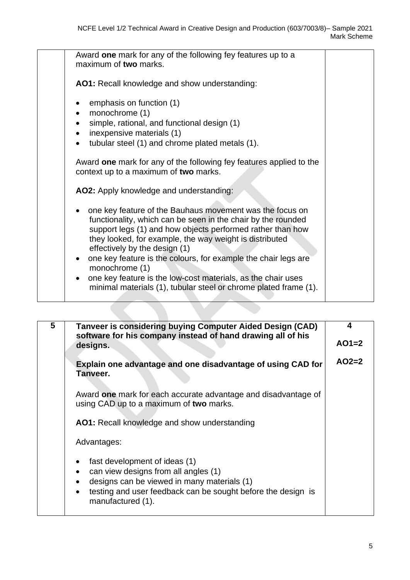| Award one mark for any of the following fey features up to a<br>maximum of two marks.                                                                                                                                                                                                                                                                                                                                                                                                                      |
|------------------------------------------------------------------------------------------------------------------------------------------------------------------------------------------------------------------------------------------------------------------------------------------------------------------------------------------------------------------------------------------------------------------------------------------------------------------------------------------------------------|
| AO1: Recall knowledge and show understanding:                                                                                                                                                                                                                                                                                                                                                                                                                                                              |
| emphasis on function (1)<br>monochrome (1)<br>simple, rational, and functional design (1)<br>inexpensive materials (1)<br>$\bullet$<br>tubular steel (1) and chrome plated metals (1).<br>$\bullet$                                                                                                                                                                                                                                                                                                        |
| Award one mark for any of the following fey features applied to the<br>context up to a maximum of two marks.                                                                                                                                                                                                                                                                                                                                                                                               |
| AO2: Apply knowledge and understanding:                                                                                                                                                                                                                                                                                                                                                                                                                                                                    |
| one key feature of the Bauhaus movement was the focus on<br>functionality, which can be seen in the chair by the rounded<br>support legs (1) and how objects performed rather than how<br>they looked, for example, the way weight is distributed<br>effectively by the design (1)<br>one key feature is the colours, for example the chair legs are<br>monochrome (1)<br>one key feature is the low-cost materials, as the chair uses<br>minimal materials (1), tubular steel or chrome plated frame (1). |
|                                                                                                                                                                                                                                                                                                                                                                                                                                                                                                            |

| 5 | Tanveer is considering buying Computer Aided Design (CAD)<br>software for his company instead of hand drawing all of his<br>designs.                                                                                                | 4<br>$AO1=2$ |
|---|-------------------------------------------------------------------------------------------------------------------------------------------------------------------------------------------------------------------------------------|--------------|
|   | Explain one advantage and one disadvantage of using CAD for<br>Tanveer.                                                                                                                                                             | $AO2=2$      |
|   | Award one mark for each accurate advantage and disadvantage of<br>using CAD up to a maximum of two marks.                                                                                                                           |              |
|   | <b>AO1:</b> Recall knowledge and show understanding                                                                                                                                                                                 |              |
|   | Advantages:                                                                                                                                                                                                                         |              |
|   | fast development of ideas (1)<br>$\bullet$<br>can view designs from all angles (1)<br>designs can be viewed in many materials (1)<br>testing and user feedback can be sought before the design is<br>$\bullet$<br>manufactured (1). |              |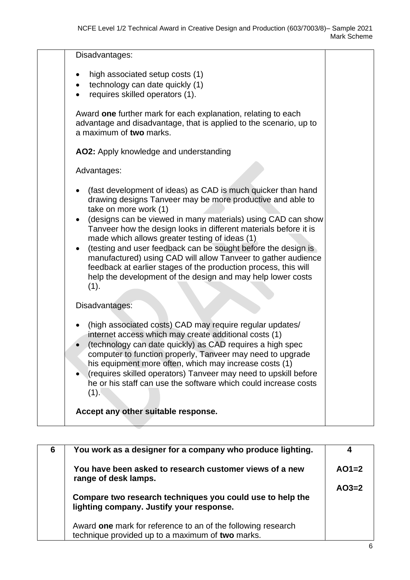| Disadvantages:                                                                                                                                                                                                                                                                                                                                                                                                                                                                                                                                                                                                        |  |
|-----------------------------------------------------------------------------------------------------------------------------------------------------------------------------------------------------------------------------------------------------------------------------------------------------------------------------------------------------------------------------------------------------------------------------------------------------------------------------------------------------------------------------------------------------------------------------------------------------------------------|--|
| high associated setup costs (1)<br>$\bullet$<br>technology can date quickly (1)<br>requires skilled operators (1).                                                                                                                                                                                                                                                                                                                                                                                                                                                                                                    |  |
| Award one further mark for each explanation, relating to each<br>advantage and disadvantage, that is applied to the scenario, up to<br>a maximum of two marks.                                                                                                                                                                                                                                                                                                                                                                                                                                                        |  |
| AO2: Apply knowledge and understanding                                                                                                                                                                                                                                                                                                                                                                                                                                                                                                                                                                                |  |
| Advantages:                                                                                                                                                                                                                                                                                                                                                                                                                                                                                                                                                                                                           |  |
| (fast development of ideas) as CAD is much quicker than hand<br>drawing designs Tanveer may be more productive and able to<br>take on more work (1)<br>(designs can be viewed in many materials) using CAD can show<br>Tanveer how the design looks in different materials before it is<br>made which allows greater testing of ideas (1)<br>(testing and user feedback can be sought before the design is<br>manufactured) using CAD will allow Tanveer to gather audience<br>feedback at earlier stages of the production process, this will<br>help the development of the design and may help lower costs<br>(1). |  |
| Disadvantages:                                                                                                                                                                                                                                                                                                                                                                                                                                                                                                                                                                                                        |  |
| (high associated costs) CAD may require regular updates/<br>internet access which may create additional costs (1)<br>(technology can date quickly) as CAD requires a high spec<br>computer to function properly, Tanveer may need to upgrade<br>his equipment more often, which may increase costs (1)<br>(requires skilled operators) Tanveer may need to upskill before<br>he or his staff can use the software which could increase costs<br>(1).                                                                                                                                                                  |  |
| Accept any other suitable response.                                                                                                                                                                                                                                                                                                                                                                                                                                                                                                                                                                                   |  |

| 6 | You work as a designer for a company who produce lighting.                                                       | 4       |
|---|------------------------------------------------------------------------------------------------------------------|---------|
|   | You have been asked to research customer views of a new<br>range of desk lamps.                                  | $AO1=2$ |
|   | Compare two research techniques you could use to help the<br>lighting company. Justify your response.            | $AO3=2$ |
|   | Award one mark for reference to an of the following research<br>technique provided up to a maximum of two marks. |         |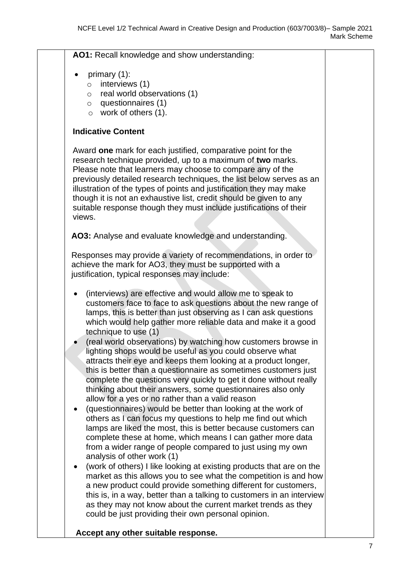**AO1:** Recall knowledge and show understanding:

- primary (1):
	- o interviews (1)
	- o real world observations (1)
	- o questionnaires (1)
	- o work of others (1).

### **Indicative Content**

Award **one** mark for each justified, comparative point for the research technique provided, up to a maximum of **two** marks. Please note that learners may choose to compare any of the previously detailed research techniques, the list below serves as an illustration of the types of points and justification they may make though it is not an exhaustive list, credit should be given to any suitable response though they must include justifications of their views.

**AO3:** Analyse and evaluate knowledge and understanding.

Responses may provide a variety of recommendations, in order to achieve the mark for AO3, they must be supported with a justification, typical responses may include:

- (interviews) are effective and would allow me to speak to customers face to face to ask questions about the new range of lamps, this is better than just observing as I can ask questions which would help gather more reliable data and make it a good technique to use (1)
- (real world observations) by watching how customers browse in lighting shops would be useful as you could observe what attracts their eye and keeps them looking at a product longer, this is better than a questionnaire as sometimes customers just complete the questions very quickly to get it done without really thinking about their answers, some questionnaires also only allow for a yes or no rather than a valid reason
- (questionnaires) would be better than looking at the work of others as I can focus my questions to help me find out which lamps are liked the most, this is better because customers can complete these at home, which means I can gather more data from a wider range of people compared to just using my own analysis of other work (1)
- (work of others) I like looking at existing products that are on the market as this allows you to see what the competition is and how a new product could provide something different for customers, this is, in a way, better than a talking to customers in an interview as they may not know about the current market trends as they could be just providing their own personal opinion.

### **Accept any other suitable response.**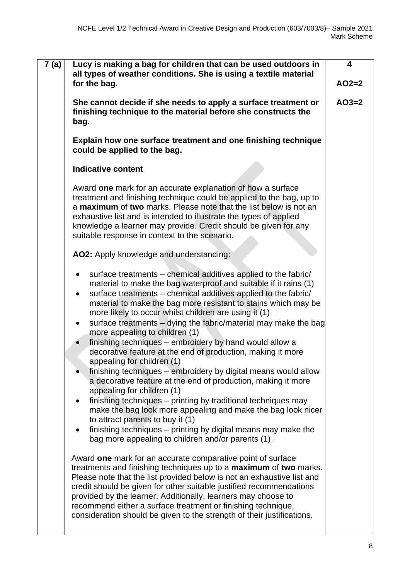| 7 (a) | Lucy is making a bag for children that can be used outdoors in<br>all types of weather conditions. She is using a textile material<br>for the bag.                                                                                                                                                                                                                                                                                                                                                                                                                                                                                                                                                                                                                                                                                                                                                                                                                                                                                                                                                                 | 4<br>$AO2=2$ |
|-------|--------------------------------------------------------------------------------------------------------------------------------------------------------------------------------------------------------------------------------------------------------------------------------------------------------------------------------------------------------------------------------------------------------------------------------------------------------------------------------------------------------------------------------------------------------------------------------------------------------------------------------------------------------------------------------------------------------------------------------------------------------------------------------------------------------------------------------------------------------------------------------------------------------------------------------------------------------------------------------------------------------------------------------------------------------------------------------------------------------------------|--------------|
|       |                                                                                                                                                                                                                                                                                                                                                                                                                                                                                                                                                                                                                                                                                                                                                                                                                                                                                                                                                                                                                                                                                                                    |              |
|       | She cannot decide if she needs to apply a surface treatment or<br>finishing technique to the material before she constructs the<br>bag.                                                                                                                                                                                                                                                                                                                                                                                                                                                                                                                                                                                                                                                                                                                                                                                                                                                                                                                                                                            | $AO3=2$      |
|       | Explain how one surface treatment and one finishing technique<br>could be applied to the bag.                                                                                                                                                                                                                                                                                                                                                                                                                                                                                                                                                                                                                                                                                                                                                                                                                                                                                                                                                                                                                      |              |
|       | <b>Indicative content</b>                                                                                                                                                                                                                                                                                                                                                                                                                                                                                                                                                                                                                                                                                                                                                                                                                                                                                                                                                                                                                                                                                          |              |
|       | Award one mark for an accurate explanation of how a surface<br>treatment and finishing technique could be applied to the bag, up to<br>a maximum of two marks. Please note that the list below is not an<br>exhaustive list and is intended to illustrate the types of applied<br>knowledge a learner may provide. Credit should be given for any<br>suitable response in context to the scenario.                                                                                                                                                                                                                                                                                                                                                                                                                                                                                                                                                                                                                                                                                                                 |              |
|       | AO2: Apply knowledge and understanding:                                                                                                                                                                                                                                                                                                                                                                                                                                                                                                                                                                                                                                                                                                                                                                                                                                                                                                                                                                                                                                                                            |              |
|       | surface treatments – chemical additives applied to the fabric/<br>٠<br>material to make the bag waterproof and suitable if it rains (1)<br>surface treatments – chemical additives applied to the fabric/<br>$\bullet$<br>material to make the bag more resistant to stains which may be<br>more likely to occur whilst children are using it (1)<br>surface treatments - dying the fabric/material may make the bag<br>$\bullet$<br>more appealing to children (1)<br>finishing techniques - embroidery by hand would allow a<br>decorative feature at the end of production, making it more<br>appealing for children (1)<br>finishing techniques – embroidery by digital means would allow<br>a decorative feature at the end of production, making it more<br>appealing for children (1)<br>finishing techniques – printing by traditional techniques may<br>$\bullet$<br>make the bag look more appealing and make the bag look nicer<br>to attract parents to buy it (1)<br>finishing techniques – printing by digital means may make the<br>$\bullet$<br>bag more appealing to children and/or parents (1). |              |
|       | Award one mark for an accurate comparative point of surface<br>treatments and finishing techniques up to a maximum of two marks.<br>Please note that the list provided below is not an exhaustive list and<br>credit should be given for other suitable justified recommendations<br>provided by the learner. Additionally, learners may choose to<br>recommend either a surface treatment or finishing technique,<br>consideration should be given to the strength of their justifications.                                                                                                                                                                                                                                                                                                                                                                                                                                                                                                                                                                                                                       |              |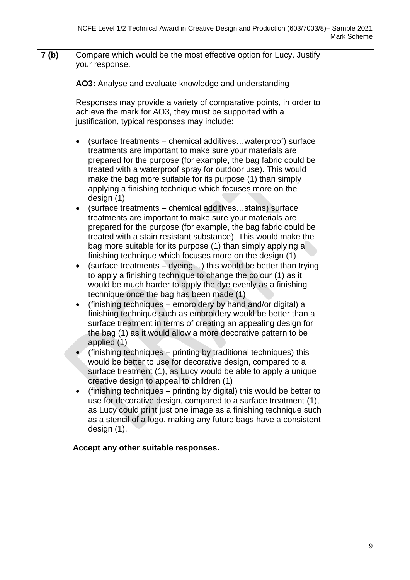| 7 <sub>(b)</sub> | Compare which would be the most effective option for Lucy. Justify<br>your response.                                                                                                                                                                                                                                                                                                                                                                                                                                                                                                                                                                                                                                                                                                                                                                                                                                                                                                                                                                                                                                                                                                                                                                                                                                                                                                                                                                                                                                                                                                                                                                                                                                                                                                                                                                                               |  |
|------------------|------------------------------------------------------------------------------------------------------------------------------------------------------------------------------------------------------------------------------------------------------------------------------------------------------------------------------------------------------------------------------------------------------------------------------------------------------------------------------------------------------------------------------------------------------------------------------------------------------------------------------------------------------------------------------------------------------------------------------------------------------------------------------------------------------------------------------------------------------------------------------------------------------------------------------------------------------------------------------------------------------------------------------------------------------------------------------------------------------------------------------------------------------------------------------------------------------------------------------------------------------------------------------------------------------------------------------------------------------------------------------------------------------------------------------------------------------------------------------------------------------------------------------------------------------------------------------------------------------------------------------------------------------------------------------------------------------------------------------------------------------------------------------------------------------------------------------------------------------------------------------------|--|
|                  | AO3: Analyse and evaluate knowledge and understanding                                                                                                                                                                                                                                                                                                                                                                                                                                                                                                                                                                                                                                                                                                                                                                                                                                                                                                                                                                                                                                                                                                                                                                                                                                                                                                                                                                                                                                                                                                                                                                                                                                                                                                                                                                                                                              |  |
|                  | Responses may provide a variety of comparative points, in order to<br>achieve the mark for AO3, they must be supported with a<br>justification, typical responses may include:                                                                                                                                                                                                                                                                                                                                                                                                                                                                                                                                                                                                                                                                                                                                                                                                                                                                                                                                                                                                                                                                                                                                                                                                                                                                                                                                                                                                                                                                                                                                                                                                                                                                                                     |  |
|                  | (surface treatments – chemical additiveswaterproof) surface<br>treatments are important to make sure your materials are<br>prepared for the purpose (for example, the bag fabric could be<br>treated with a waterproof spray for outdoor use). This would<br>make the bag more suitable for its purpose (1) than simply<br>applying a finishing technique which focuses more on the<br>design $(1)$<br>(surface treatments – chemical additivesstains) surface<br>treatments are important to make sure your materials are<br>prepared for the purpose (for example, the bag fabric could be<br>treated with a stain resistant substance). This would make the<br>bag more suitable for its purpose (1) than simply applying a<br>finishing technique which focuses more on the design (1)<br>(surface treatments – dyeing) this would be better than trying<br>to apply a finishing technique to change the colour (1) as it<br>would be much harder to apply the dye evenly as a finishing<br>technique once the bag has been made (1)<br>(finishing techniques – embroidery by hand and/or digital) a<br>finishing technique such as embroidery would be better than a<br>surface treatment in terms of creating an appealing design for<br>the bag (1) as it would allow a more decorative pattern to be<br>applied (1)<br>(finishing techniques – printing by traditional techniques) this<br>would be better to use for decorative design, compared to a<br>surface treatment (1), as Lucy would be able to apply a unique<br>creative design to appeal to children (1)<br>(finishing techniques - printing by digital) this would be better to<br>use for decorative design, compared to a surface treatment (1),<br>as Lucy could print just one image as a finishing technique such<br>as a stencil of a logo, making any future bags have a consistent<br>design $(1)$ . |  |
|                  | Accept any other suitable responses.                                                                                                                                                                                                                                                                                                                                                                                                                                                                                                                                                                                                                                                                                                                                                                                                                                                                                                                                                                                                                                                                                                                                                                                                                                                                                                                                                                                                                                                                                                                                                                                                                                                                                                                                                                                                                                               |  |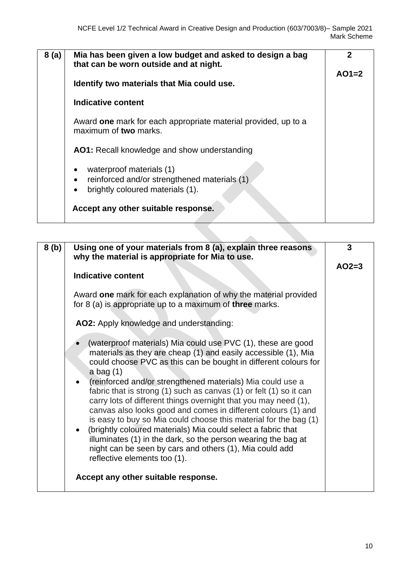| 8(a) | Mia has been given a low budget and asked to design a bag<br>that can be worn outside and at night.                                 | 2       |
|------|-------------------------------------------------------------------------------------------------------------------------------------|---------|
|      | Identify two materials that Mia could use.                                                                                          | $AO1=2$ |
|      | <b>Indicative content</b>                                                                                                           |         |
|      | Award one mark for each appropriate material provided, up to a<br>maximum of two marks.                                             |         |
|      | AO1: Recall knowledge and show understanding                                                                                        |         |
|      | waterproof materials (1)<br>٠<br>reinforced and/or strengthened materials (1)<br>٠<br>brightly coloured materials (1).<br>$\bullet$ |         |
|      | Accept any other suitable response.                                                                                                 |         |

| 8(b) | Using one of your materials from 8 (a), explain three reasons<br>why the material is appropriate for Mia to use.                                                                                                                                                                                                                                                                                                                                                                                                                                                                                                                                                                                                                                                                         | 3       |
|------|------------------------------------------------------------------------------------------------------------------------------------------------------------------------------------------------------------------------------------------------------------------------------------------------------------------------------------------------------------------------------------------------------------------------------------------------------------------------------------------------------------------------------------------------------------------------------------------------------------------------------------------------------------------------------------------------------------------------------------------------------------------------------------------|---------|
|      |                                                                                                                                                                                                                                                                                                                                                                                                                                                                                                                                                                                                                                                                                                                                                                                          | $AO2=3$ |
|      | <b>Indicative content</b>                                                                                                                                                                                                                                                                                                                                                                                                                                                                                                                                                                                                                                                                                                                                                                |         |
|      | Award one mark for each explanation of why the material provided<br>for 8 (a) is appropriate up to a maximum of three marks.                                                                                                                                                                                                                                                                                                                                                                                                                                                                                                                                                                                                                                                             |         |
|      | AO2: Apply knowledge and understanding:                                                                                                                                                                                                                                                                                                                                                                                                                                                                                                                                                                                                                                                                                                                                                  |         |
|      | (waterproof materials) Mia could use PVC (1), these are good<br>materials as they are cheap (1) and easily accessible (1), Mia<br>could choose PVC as this can be bought in different colours for<br>a bag $(1)$<br>(reinforced and/or strengthened materials) Mia could use a<br>fabric that is strong (1) such as canvas (1) or felt (1) so it can<br>carry lots of different things overnight that you may need (1),<br>canvas also looks good and comes in different colours (1) and<br>is easy to buy so Mia could choose this material for the bag (1)<br>(brightly coloured materials) Mia could select a fabric that<br>illuminates (1) in the dark, so the person wearing the bag at<br>night can be seen by cars and others (1), Mia could add<br>reflective elements too (1). |         |
|      | Accept any other suitable response.                                                                                                                                                                                                                                                                                                                                                                                                                                                                                                                                                                                                                                                                                                                                                      |         |
|      |                                                                                                                                                                                                                                                                                                                                                                                                                                                                                                                                                                                                                                                                                                                                                                                          |         |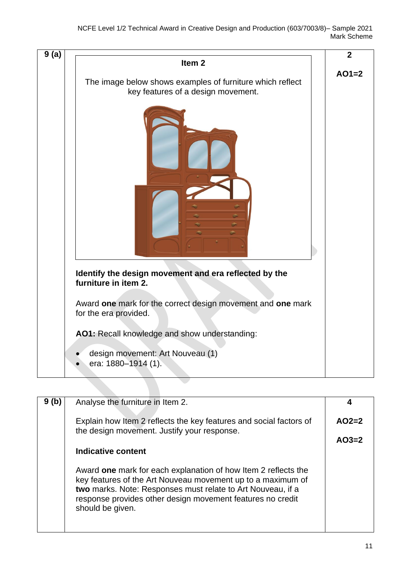

| 9(b) | Analyse the furniture in Item 2.                                                                                                                                                                                                                                               |         |
|------|--------------------------------------------------------------------------------------------------------------------------------------------------------------------------------------------------------------------------------------------------------------------------------|---------|
|      | Explain how Item 2 reflects the key features and social factors of<br>the design movement. Justify your response.                                                                                                                                                              | $AO2=2$ |
|      |                                                                                                                                                                                                                                                                                | $AO3=2$ |
|      | Indicative content                                                                                                                                                                                                                                                             |         |
|      | Award one mark for each explanation of how Item 2 reflects the<br>key features of the Art Nouveau movement up to a maximum of<br>two marks. Note: Responses must relate to Art Nouveau, if a<br>response provides other design movement features no credit<br>should be given. |         |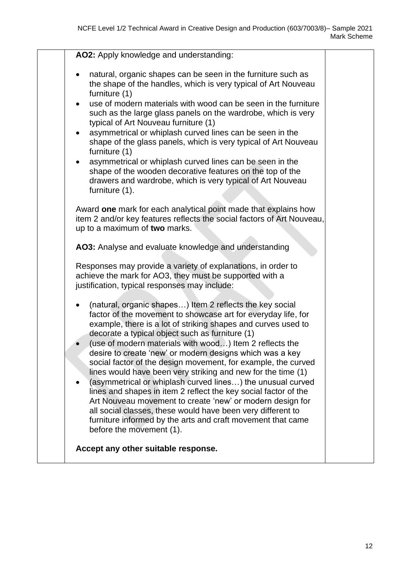| AO2: Apply knowledge and understanding:                                                                                                                                                                                                                                                                                                                                                                                                                                                                                                                                                                                                                                                                                                                                                                                                                                    |  |
|----------------------------------------------------------------------------------------------------------------------------------------------------------------------------------------------------------------------------------------------------------------------------------------------------------------------------------------------------------------------------------------------------------------------------------------------------------------------------------------------------------------------------------------------------------------------------------------------------------------------------------------------------------------------------------------------------------------------------------------------------------------------------------------------------------------------------------------------------------------------------|--|
| natural, organic shapes can be seen in the furniture such as<br>$\bullet$<br>the shape of the handles, which is very typical of Art Nouveau<br>furniture (1)                                                                                                                                                                                                                                                                                                                                                                                                                                                                                                                                                                                                                                                                                                               |  |
| use of modern materials with wood can be seen in the furniture<br>$\bullet$<br>such as the large glass panels on the wardrobe, which is very<br>typical of Art Nouveau furniture (1)                                                                                                                                                                                                                                                                                                                                                                                                                                                                                                                                                                                                                                                                                       |  |
| asymmetrical or whiplash curved lines can be seen in the<br>$\bullet$<br>shape of the glass panels, which is very typical of Art Nouveau<br>furniture (1)                                                                                                                                                                                                                                                                                                                                                                                                                                                                                                                                                                                                                                                                                                                  |  |
| asymmetrical or whiplash curved lines can be seen in the<br>shape of the wooden decorative features on the top of the<br>drawers and wardrobe, which is very typical of Art Nouveau<br>furniture (1).                                                                                                                                                                                                                                                                                                                                                                                                                                                                                                                                                                                                                                                                      |  |
| Award one mark for each analytical point made that explains how<br>item 2 and/or key features reflects the social factors of Art Nouveau,<br>up to a maximum of two marks.                                                                                                                                                                                                                                                                                                                                                                                                                                                                                                                                                                                                                                                                                                 |  |
| AO3: Analyse and evaluate knowledge and understanding                                                                                                                                                                                                                                                                                                                                                                                                                                                                                                                                                                                                                                                                                                                                                                                                                      |  |
| Responses may provide a variety of explanations, in order to<br>achieve the mark for AO3, they must be supported with a<br>justification, typical responses may include:                                                                                                                                                                                                                                                                                                                                                                                                                                                                                                                                                                                                                                                                                                   |  |
| (natural, organic shapes) Item 2 reflects the key social<br>$\bullet$<br>factor of the movement to showcase art for everyday life, for<br>example, there is a lot of striking shapes and curves used to<br>decorate a typical object such as furniture (1)<br>(use of modern materials with wood) Item 2 reflects the<br>desire to create 'new' or modern designs which was a key<br>social factor of the design movement, for example, the curved<br>lines would have been very striking and new for the time (1)<br>(asymmetrical or whiplash curved lines) the unusual curved<br>lines and shapes in item 2 reflect the key social factor of the<br>Art Nouveau movement to create 'new' or modern design for<br>all social classes, these would have been very different to<br>furniture informed by the arts and craft movement that came<br>before the movement (1). |  |
| Accept any other suitable response.                                                                                                                                                                                                                                                                                                                                                                                                                                                                                                                                                                                                                                                                                                                                                                                                                                        |  |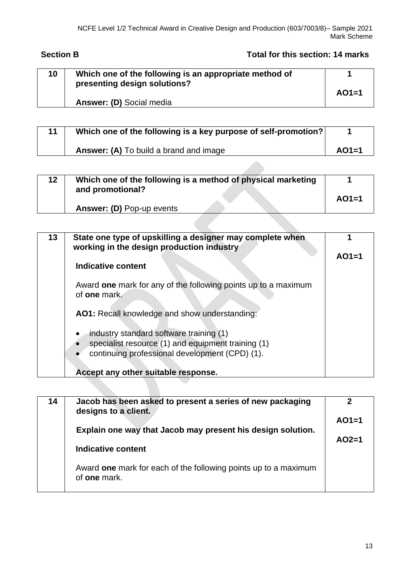# **Section B Total for this section: 14 marks**

| 10 <sup>°</sup> | Which one of the following is an appropriate method of |         |
|-----------------|--------------------------------------------------------|---------|
|                 | presenting design solutions?                           | $AO1=1$ |
|                 | Answer: (D) Social media                               |         |

| 11 | Which one of the following is a key purpose of self-promotion? |         |
|----|----------------------------------------------------------------|---------|
|    | <b>Answer: (A)</b> To build a brand and image                  | $AO1=1$ |

| 12 <sub>2</sub> | Which one of the following is a method of physical marketing |         |
|-----------------|--------------------------------------------------------------|---------|
|                 | and promotional?                                             | $AO1=1$ |
|                 |                                                              |         |
|                 | <b>Answer: (D) Pop-up events</b>                             |         |

| 13 | State one type of upskilling a designer may complete when<br>working in the design production industry                                          |         |
|----|-------------------------------------------------------------------------------------------------------------------------------------------------|---------|
|    | Indicative content                                                                                                                              | $AO1=1$ |
|    | Award one mark for any of the following points up to a maximum<br>of <b>one</b> mark.                                                           |         |
|    | AO1: Recall knowledge and show understanding:                                                                                                   |         |
|    | industry standard software training (1)<br>specialist resource (1) and equipment training (1)<br>continuing professional development (CPD) (1). |         |
|    | Accept any other suitable response.                                                                                                             |         |

| 14 | Jacob has been asked to present a series of new packaging<br>designs to a client.<br>Explain one way that Jacob may present his design solution.<br>Indicative content | $AO1=1$<br>$AO2=1$ |
|----|------------------------------------------------------------------------------------------------------------------------------------------------------------------------|--------------------|
|    | Award one mark for each of the following points up to a maximum<br>of <b>one</b> mark.                                                                                 |                    |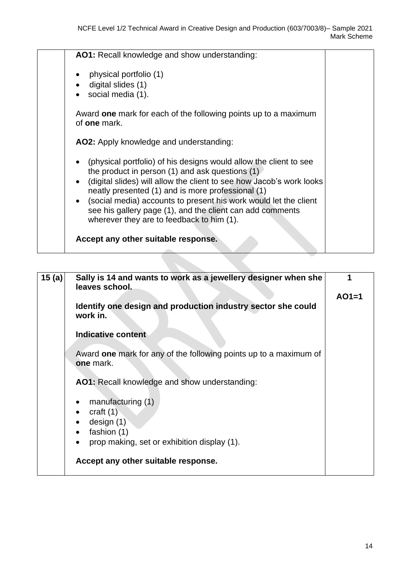| AO1: Recall knowledge and show understanding:                                                                                                                                                      |  |
|----------------------------------------------------------------------------------------------------------------------------------------------------------------------------------------------------|--|
| physical portfolio (1)<br>digital slides (1)                                                                                                                                                       |  |
| social media (1).<br>Award one mark for each of the following points up to a maximum                                                                                                               |  |
| of <b>one</b> mark.                                                                                                                                                                                |  |
| AO2: Apply knowledge and understanding:                                                                                                                                                            |  |
| (physical portfolio) of his designs would allow the client to see<br>the product in person $(1)$ and ask questions $(1)$<br>• (digital slides) will allow the client to see how Jacob's work looks |  |
| neatly presented (1) and is more professional (1)<br>(social media) accounts to present his work would let the client                                                                              |  |
| see his gallery page (1), and the client can add comments<br>wherever they are to feedback to him (1).                                                                                             |  |
| Accept any other suitable response.                                                                                                                                                                |  |

| 15(a) | Sally is 14 and wants to work as a jewellery designer when she<br>leaves school. |         |
|-------|----------------------------------------------------------------------------------|---------|
|       | Identify one design and production industry sector she could                     | $AO1=1$ |
|       | work in.                                                                         |         |
|       | Indicative content                                                               |         |
|       | Award one mark for any of the following points up to a maximum of<br>one mark.   |         |
|       | AO1: Recall knowledge and show understanding:                                    |         |
|       | manufacturing (1)                                                                |         |
|       | craft $(1)$                                                                      |         |
|       | design $(1)$<br>fashion (1)<br>$\bullet$                                         |         |
|       | prop making, set or exhibition display (1).<br>$\bullet$                         |         |
|       | Accept any other suitable response.                                              |         |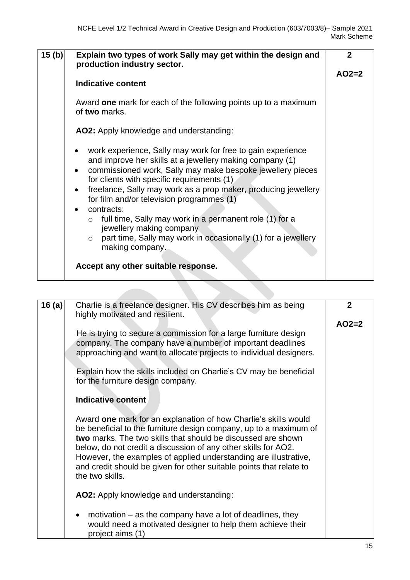| 15(b) | Explain two types of work Sally may get within the design and<br>production industry sector.                                                                                                                                                                                                                                                                                                                                                                                                                                                           | $\overline{2}$ |
|-------|--------------------------------------------------------------------------------------------------------------------------------------------------------------------------------------------------------------------------------------------------------------------------------------------------------------------------------------------------------------------------------------------------------------------------------------------------------------------------------------------------------------------------------------------------------|----------------|
|       | <b>Indicative content</b>                                                                                                                                                                                                                                                                                                                                                                                                                                                                                                                              | $AO2=2$        |
|       | Award one mark for each of the following points up to a maximum<br>of two marks.                                                                                                                                                                                                                                                                                                                                                                                                                                                                       |                |
|       | AO2: Apply knowledge and understanding:                                                                                                                                                                                                                                                                                                                                                                                                                                                                                                                |                |
|       | work experience, Sally may work for free to gain experience<br>and improve her skills at a jewellery making company (1)<br>commissioned work, Sally may make bespoke jewellery pieces<br>for clients with specific requirements (1)<br>freelance, Sally may work as a prop maker, producing jewellery<br>for film and/or television programmes (1)<br>contracts:<br>full time, Sally may work in a permanent role (1) for a<br>jewellery making company<br>part time, Sally may work in occasionally (1) for a jewellery<br>$\circ$<br>making company. |                |
|       | Accept any other suitable response.                                                                                                                                                                                                                                                                                                                                                                                                                                                                                                                    |                |

| 16(a) | Charlie is a freelance designer. His CV describes him as being<br>highly motivated and resilient.                                                                                                                                                                                                                                                                                                                                    | $\overline{2}$ |
|-------|--------------------------------------------------------------------------------------------------------------------------------------------------------------------------------------------------------------------------------------------------------------------------------------------------------------------------------------------------------------------------------------------------------------------------------------|----------------|
|       | He is trying to secure a commission for a large furniture design<br>company. The company have a number of important deadlines<br>approaching and want to allocate projects to individual designers.<br>Explain how the skills included on Charlie's CV may be beneficial<br>for the furniture design company.                                                                                                                        | $AO2=2$        |
|       | Indicative content                                                                                                                                                                                                                                                                                                                                                                                                                   |                |
|       | Award one mark for an explanation of how Charlie's skills would<br>be beneficial to the furniture design company, up to a maximum of<br>two marks. The two skills that should be discussed are shown<br>below, do not credit a discussion of any other skills for AO2.<br>However, the examples of applied understanding are illustrative,<br>and credit should be given for other suitable points that relate to<br>the two skills. |                |
|       | AO2: Apply knowledge and understanding:                                                                                                                                                                                                                                                                                                                                                                                              |                |
|       | motivation $-$ as the company have a lot of deadlines, they<br>$\bullet$<br>would need a motivated designer to help them achieve their<br>project aims (1)                                                                                                                                                                                                                                                                           |                |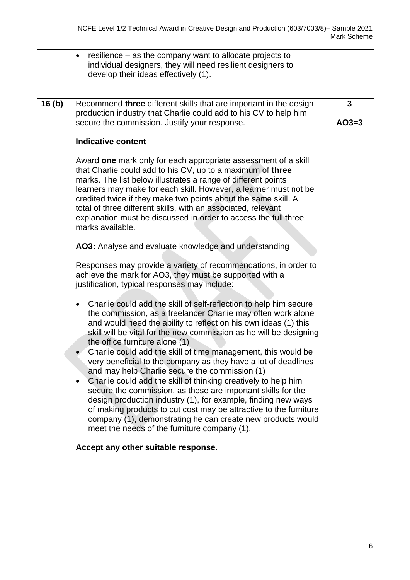|       | resilience – as the company want to allocate projects to<br>individual designers, they will need resilient designers to<br>develop their ideas effectively (1).                                                                                                                                                                                                                                                                                                                                                                                                                                                                                                                                                                                                                                                                                                                                                    |              |
|-------|--------------------------------------------------------------------------------------------------------------------------------------------------------------------------------------------------------------------------------------------------------------------------------------------------------------------------------------------------------------------------------------------------------------------------------------------------------------------------------------------------------------------------------------------------------------------------------------------------------------------------------------------------------------------------------------------------------------------------------------------------------------------------------------------------------------------------------------------------------------------------------------------------------------------|--------------|
| 16(b) | Recommend three different skills that are important in the design<br>production industry that Charlie could add to his CV to help him<br>secure the commission. Justify your response.                                                                                                                                                                                                                                                                                                                                                                                                                                                                                                                                                                                                                                                                                                                             | 3<br>$AO3=3$ |
|       | <b>Indicative content</b>                                                                                                                                                                                                                                                                                                                                                                                                                                                                                                                                                                                                                                                                                                                                                                                                                                                                                          |              |
|       | Award one mark only for each appropriate assessment of a skill<br>that Charlie could add to his CV, up to a maximum of three<br>marks. The list below illustrates a range of different points<br>learners may make for each skill. However, a learner must not be<br>credited twice if they make two points about the same skill. A<br>total of three different skills, with an associated, relevant<br>explanation must be discussed in order to access the full three<br>marks available.                                                                                                                                                                                                                                                                                                                                                                                                                        |              |
|       | AO3: Analyse and evaluate knowledge and understanding                                                                                                                                                                                                                                                                                                                                                                                                                                                                                                                                                                                                                                                                                                                                                                                                                                                              |              |
|       | Responses may provide a variety of recommendations, in order to<br>achieve the mark for AO3, they must be supported with a<br>justification, typical responses may include:                                                                                                                                                                                                                                                                                                                                                                                                                                                                                                                                                                                                                                                                                                                                        |              |
|       | Charlie could add the skill of self-reflection to help him secure<br>$\bullet$<br>the commission, as a freelancer Charlie may often work alone<br>and would need the ability to reflect on his own ideas (1) this<br>skill will be vital for the new commission as he will be designing<br>the office furniture alone (1)<br>Charlie could add the skill of time management, this would be<br>very beneficial to the company as they have a lot of deadlines<br>and may help Charlie secure the commission (1)<br>Charlie could add the skill of thinking creatively to help him<br>$\bullet$<br>secure the commission, as these are important skills for the<br>design production industry (1), for example, finding new ways<br>of making products to cut cost may be attractive to the furniture<br>company (1), demonstrating he can create new products would<br>meet the needs of the furniture company (1). |              |
|       | Accept any other suitable response.                                                                                                                                                                                                                                                                                                                                                                                                                                                                                                                                                                                                                                                                                                                                                                                                                                                                                |              |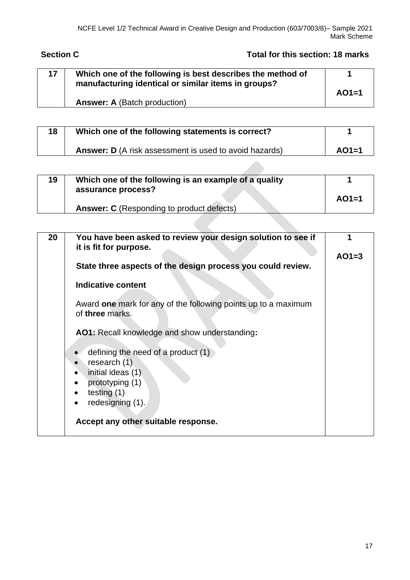# **Section C Total for this section: 18 marks**

| 17 | Which one of the following is best describes the method of |         |
|----|------------------------------------------------------------|---------|
|    | manufacturing identical or similar items in groups?        | $AO1=1$ |
|    | <b>Answer: A (Batch production)</b>                        |         |

| 18 | Which one of the following statements is correct?             |         |
|----|---------------------------------------------------------------|---------|
|    | <b>Answer: D</b> (A risk assessment is used to avoid hazards) | $AO1=1$ |

| 19 | Which one of the following is an example of a quality<br>assurance process? |         |
|----|-----------------------------------------------------------------------------|---------|
|    | <b>Answer: C</b> (Responding to product defects)                            | $AO1=1$ |

| 20 | You have been asked to review your design solution to see if<br>it is fit for purpose. |         |
|----|----------------------------------------------------------------------------------------|---------|
|    | State three aspects of the design process you could review.                            | $AO1=3$ |
|    | Indicative content                                                                     |         |
|    |                                                                                        |         |
|    | Award one mark for any of the following points up to a maximum<br>of three marks.      |         |
|    | <b>AO1:</b> Recall knowledge and show understanding:                                   |         |
|    | defining the need of a product (1)                                                     |         |
|    | research $(1)$                                                                         |         |
|    | initial ideas (1)                                                                      |         |
|    | prototyping (1)<br>$\bullet$                                                           |         |
|    | testing $(1)$<br>$\bullet$                                                             |         |
|    | redesigning (1).<br>$\bullet$                                                          |         |
|    | Accept any other suitable response.                                                    |         |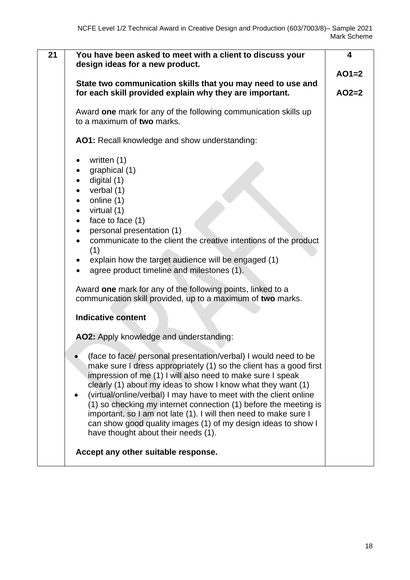| 21<br>You have been asked to meet with a client to discuss your<br>design ideas for a new product.<br>State two communication skills that you may need to use and<br>for each skill provided explain why they are important.<br>Award one mark for any of the following communication skills up<br>to a maximum of two marks.<br>AO1: Recall knowledge and show understanding:<br>written (1)                                                                                                                                                                                                         | 4<br>$AO1=2$<br>$AO2=2$ |
|-------------------------------------------------------------------------------------------------------------------------------------------------------------------------------------------------------------------------------------------------------------------------------------------------------------------------------------------------------------------------------------------------------------------------------------------------------------------------------------------------------------------------------------------------------------------------------------------------------|-------------------------|
| graphical (1)<br>digital (1)<br>$\bullet$<br>verbal $(1)$<br>online (1)<br>$\bullet$<br>virtual (1)<br>$\bullet$<br>face to face (1)<br>$\bullet$<br>personal presentation (1)<br>$\bullet$<br>communicate to the client the creative intentions of the product<br>(1)<br>explain how the target audience will be engaged (1)<br>agree product timeline and milestones (1).                                                                                                                                                                                                                           |                         |
| Award one mark for any of the following points, linked to a<br>communication skill provided, up to a maximum of two marks.<br><b>Indicative content</b><br>AO2: Apply knowledge and understanding:                                                                                                                                                                                                                                                                                                                                                                                                    |                         |
| (face to face/ personal presentation/verbal) I would need to be<br>make sure I dress appropriately (1) so the client has a good first<br>impression of me (1) I will also need to make sure I speak<br>clearly (1) about my ideas to show I know what they want (1)<br>(virtual/online/verbal) I may have to meet with the client online<br>$\bullet$<br>(1) so checking my internet connection (1) before the meeting is<br>important, so I am not late (1). I will then need to make sure I<br>can show good quality images (1) of my design ideas to show I<br>have thought about their needs (1). |                         |
| Accept any other suitable response.                                                                                                                                                                                                                                                                                                                                                                                                                                                                                                                                                                   |                         |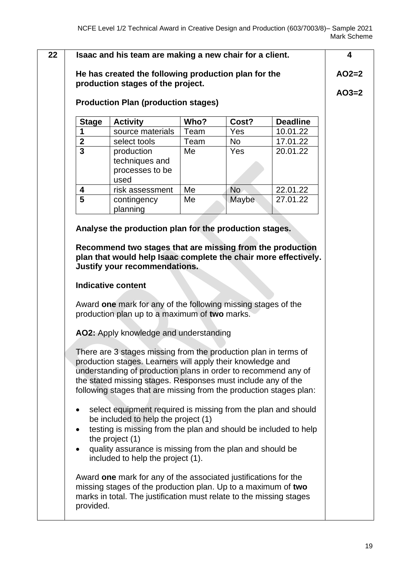| <b>Production Plan (production stages)</b> |                                                                                                                                                                                                                                                                                                                                                                                                                                               |              |              |                             |  |  |
|--------------------------------------------|-----------------------------------------------------------------------------------------------------------------------------------------------------------------------------------------------------------------------------------------------------------------------------------------------------------------------------------------------------------------------------------------------------------------------------------------------|--------------|--------------|-----------------------------|--|--|
| <b>Stage</b><br>1                          | <b>Activity</b><br>source materials                                                                                                                                                                                                                                                                                                                                                                                                           | Who?<br>Team | Cost?<br>Yes | <b>Deadline</b><br>10.01.22 |  |  |
|                                            | select tools                                                                                                                                                                                                                                                                                                                                                                                                                                  | Team         | No           | 17.01.22                    |  |  |
| $\frac{2}{3}$                              | production<br>techniques and<br>processes to be<br>used                                                                                                                                                                                                                                                                                                                                                                                       | Me           | Yes          | 20.01.22                    |  |  |
| 4                                          | risk assessment                                                                                                                                                                                                                                                                                                                                                                                                                               | Me           | <b>No</b>    | 22.01.22                    |  |  |
| $\overline{5}$                             | contingency<br>planning                                                                                                                                                                                                                                                                                                                                                                                                                       | Me           | Maybe        | 27.01.22                    |  |  |
|                                            | <b>Indicative content</b><br>Award one mark for any of the following missing stages of the                                                                                                                                                                                                                                                                                                                                                    |              |              |                             |  |  |
|                                            | production plan up to a maximum of two marks.                                                                                                                                                                                                                                                                                                                                                                                                 |              |              |                             |  |  |
|                                            | AO2: Apply knowledge and understanding                                                                                                                                                                                                                                                                                                                                                                                                        |              |              |                             |  |  |
|                                            | There are 3 stages missing from the production plan in terms of<br>production stages. Learners will apply their knowledge and<br>understanding of production plans in order to recommend any of<br>the stated missing stages. Responses must include any of the<br>following stages that are missing from the production stages plan:<br>select equipment required is missing from the plan and should<br>be included to help the project (1) |              |              |                             |  |  |
| $\bullet$                                  | testing is missing from the plan and should be included to help<br>the project (1)<br>quality assurance is missing from the plan and should be<br>included to help the project (1).                                                                                                                                                                                                                                                           |              |              |                             |  |  |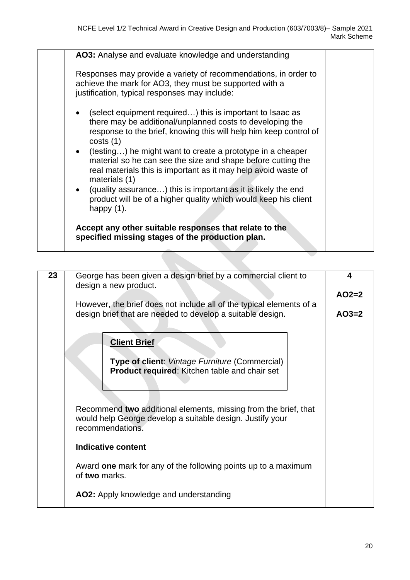| AO3: Analyse and evaluate knowledge and understanding                                                                                                                                                                                                                                                                                                                                                                                                                                                                                                                                          |  |  |  |  |  |  |
|------------------------------------------------------------------------------------------------------------------------------------------------------------------------------------------------------------------------------------------------------------------------------------------------------------------------------------------------------------------------------------------------------------------------------------------------------------------------------------------------------------------------------------------------------------------------------------------------|--|--|--|--|--|--|
| Responses may provide a variety of recommendations, in order to<br>achieve the mark for AO3, they must be supported with a<br>justification, typical responses may include:                                                                                                                                                                                                                                                                                                                                                                                                                    |  |  |  |  |  |  |
| (select equipment required) this is important to Isaac as<br>$\bullet$<br>there may be additional/unplanned costs to developing the<br>response to the brief, knowing this will help him keep control of<br>costs(1)<br>• (testing) he might want to create a prototype in a cheaper<br>material so he can see the size and shape before cutting the<br>real materials this is important as it may help avoid waste of<br>materials (1)<br>• (quality assurance) this is important as it is likely the end<br>product will be of a higher quality which would keep his client<br>happy $(1)$ . |  |  |  |  |  |  |
| Accept any other suitable responses that relate to the<br>specified missing stages of the production plan.                                                                                                                                                                                                                                                                                                                                                                                                                                                                                     |  |  |  |  |  |  |

| 23 | George has been given a design brief by a commercial client to<br>design a new product. | 4       |  |  |  |  |
|----|-----------------------------------------------------------------------------------------|---------|--|--|--|--|
|    |                                                                                         | $AO2=2$ |  |  |  |  |
|    | However, the brief does not include all of the typical elements of a                    |         |  |  |  |  |
|    | design brief that are needed to develop a suitable design.                              | $AO3=2$ |  |  |  |  |
|    |                                                                                         |         |  |  |  |  |
|    | <b>Client Brief</b>                                                                     |         |  |  |  |  |
|    | <b>Type of client: Vintage Furniture (Commercial)</b>                                   |         |  |  |  |  |
|    | <b>Product required:</b> Kitchen table and chair set                                    |         |  |  |  |  |
|    |                                                                                         |         |  |  |  |  |
|    |                                                                                         |         |  |  |  |  |
|    | Recommend two additional elements, missing from the brief, that                         |         |  |  |  |  |
|    | would help George develop a suitable design. Justify your<br>recommendations.           |         |  |  |  |  |
|    |                                                                                         |         |  |  |  |  |
|    | Indicative content                                                                      |         |  |  |  |  |
|    | Award one mark for any of the following points up to a maximum                          |         |  |  |  |  |
|    | of two marks.                                                                           |         |  |  |  |  |
|    | AO2: Apply knowledge and understanding                                                  |         |  |  |  |  |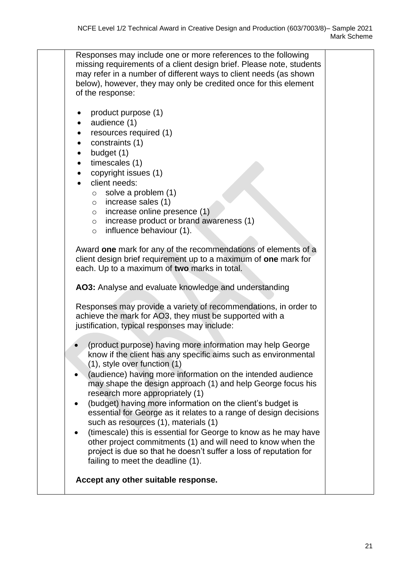Responses may include one or more references to the following missing requirements of a client design brief. Please note, students may refer in a number of different ways to client needs (as shown below), however, they may only be credited once for this element of the response: • product purpose (1) • audience (1) • resources required (1) • constraints (1) • budget (1) timescales (1) • copyright issues (1) client needs: o solve a problem (1) o increase sales (1) o increase online presence (1) o increase product or brand awareness (1) o influence behaviour (1). Award **one** mark for any of the recommendations of elements of a client design brief requirement up to a maximum of **one** mark for each. Up to a maximum of **two** marks in total. **AO3:** Analyse and evaluate knowledge and understanding Responses may provide a variety of recommendations, in order to achieve the mark for AO3, they must be supported with a justification, typical responses may include: • (product purpose) having more information may help George know if the client has any specific aims such as environmental (1), style over function (1) • (audience) having more information on the intended audience may shape the design approach (1) and help George focus his research more appropriately (1) • (budget) having more information on the client's budget is essential for George as it relates to a range of design decisions such as resources (1), materials (1) • (timescale) this is essential for George to know as he may have other project commitments (1) and will need to know when the project is due so that he doesn't suffer a loss of reputation for failing to meet the deadline (1). **Accept any other suitable response.**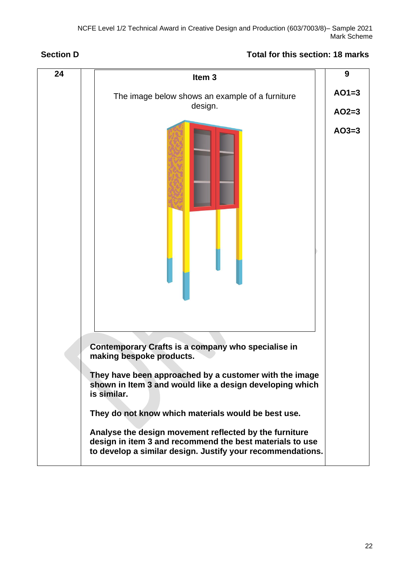### **Section D Total for this section: 18 marks**



22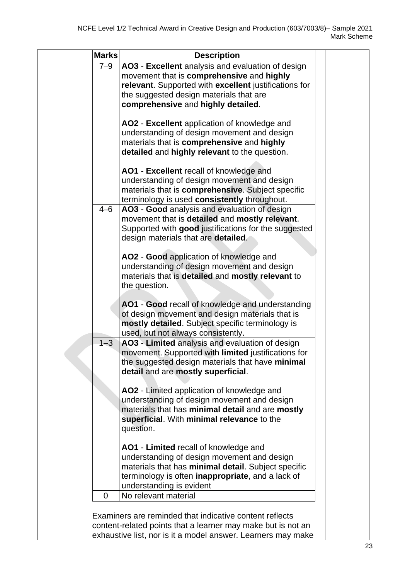| <b>Marks</b> | <b>Description</b>                                                                                                      |  |
|--------------|-------------------------------------------------------------------------------------------------------------------------|--|
| $7 - 9$      | AO3 - Excellent analysis and evaluation of design                                                                       |  |
|              | movement that is comprehensive and highly                                                                               |  |
|              | relevant. Supported with excellent justifications for                                                                   |  |
|              | the suggested design materials that are                                                                                 |  |
|              | comprehensive and highly detailed.                                                                                      |  |
|              | AO2 - Excellent application of knowledge and                                                                            |  |
|              | understanding of design movement and design                                                                             |  |
|              | materials that is comprehensive and highly                                                                              |  |
|              | detailed and highly relevant to the question.                                                                           |  |
|              | AO1 - Excellent recall of knowledge and                                                                                 |  |
|              | understanding of design movement and design                                                                             |  |
|              | materials that is comprehensive. Subject specific                                                                       |  |
|              | terminology is used consistently throughout.                                                                            |  |
| $4 - 6$      | AO3 - Good analysis and evaluation of design                                                                            |  |
|              | movement that is detailed and mostly relevant.                                                                          |  |
|              | Supported with good justifications for the suggested                                                                    |  |
|              | design materials that are detailed.                                                                                     |  |
|              |                                                                                                                         |  |
|              | AO2 - Good application of knowledge and                                                                                 |  |
|              | understanding of design movement and design                                                                             |  |
|              | materials that is detailed and mostly relevant to                                                                       |  |
|              | the question.                                                                                                           |  |
|              | AO1 - Good recall of knowledge and understanding                                                                        |  |
|              | of design movement and design materials that is                                                                         |  |
|              | mostly detailed. Subject specific terminology is                                                                        |  |
|              | used, but not always consistently.                                                                                      |  |
| $1 - 3$      | AO3 - Limited analysis and evaluation of design                                                                         |  |
|              | movement. Supported with limited justifications for                                                                     |  |
|              | the suggested design materials that have minimal                                                                        |  |
|              | detail and are mostly superficial.                                                                                      |  |
|              | AO2 - Limited application of knowledge and                                                                              |  |
|              | understanding of design movement and design                                                                             |  |
|              | materials that has minimal detail and are mostly                                                                        |  |
|              | superficial. With minimal relevance to the                                                                              |  |
|              | question.                                                                                                               |  |
|              | AO1 - Limited recall of knowledge and                                                                                   |  |
|              | understanding of design movement and design                                                                             |  |
|              | materials that has minimal detail. Subject specific                                                                     |  |
|              | terminology is often <b>inappropriate</b> , and a lack of                                                               |  |
|              | understanding is evident                                                                                                |  |
| $\Omega$     | No relevant material                                                                                                    |  |
|              |                                                                                                                         |  |
|              | Examiners are reminded that indicative content reflects<br>content-related points that a learner may make but is not an |  |
|              | exhaustive list, nor is it a model answer. Learners may make                                                            |  |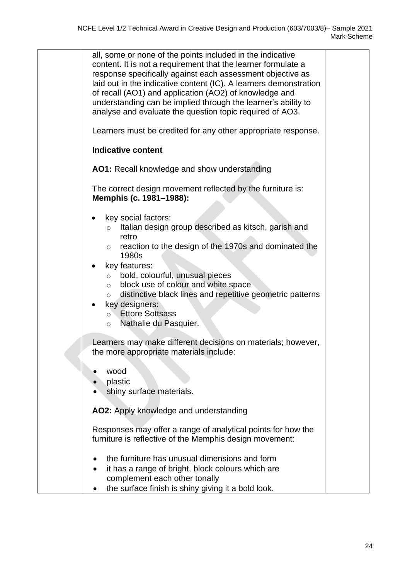| all, some or none of the points included in the indicative<br>content. It is not a requirement that the learner formulate a<br>response specifically against each assessment objective as<br>laid out in the indicative content (IC). A learners demonstration<br>of recall (AO1) and application (AO2) of knowledge and<br>understanding can be implied through the learner's ability to<br>analyse and evaluate the question topic required of AO3.            |  |
|------------------------------------------------------------------------------------------------------------------------------------------------------------------------------------------------------------------------------------------------------------------------------------------------------------------------------------------------------------------------------------------------------------------------------------------------------------------|--|
| Learners must be credited for any other appropriate response.                                                                                                                                                                                                                                                                                                                                                                                                    |  |
| <b>Indicative content</b>                                                                                                                                                                                                                                                                                                                                                                                                                                        |  |
| AO1: Recall knowledge and show understanding                                                                                                                                                                                                                                                                                                                                                                                                                     |  |
| The correct design movement reflected by the furniture is:<br>Memphis (c. 1981–1988):                                                                                                                                                                                                                                                                                                                                                                            |  |
| key social factors:<br>Italian design group described as kitsch, garish and<br>$\circ$<br>retro<br>reaction to the design of the 1970s and dominated the<br>$\circ$<br>1980s<br>key features:<br>bold, colourful, unusual pieces<br>$\circ$<br>block use of colour and white space<br>$\circ$<br>distinctive black lines and repetitive geometric patterns<br>$\circ$<br>key designers:<br><b>Ettore Sottsass</b><br>$\circ$<br>Nathalie du Pasquier.<br>$\circ$ |  |
| Learners may make different decisions on materials; however,<br>the more appropriate materials include:                                                                                                                                                                                                                                                                                                                                                          |  |
| wood<br>plastic<br>shiny surface materials.                                                                                                                                                                                                                                                                                                                                                                                                                      |  |
| AO2: Apply knowledge and understanding                                                                                                                                                                                                                                                                                                                                                                                                                           |  |
| Responses may offer a range of analytical points for how the<br>furniture is reflective of the Memphis design movement:                                                                                                                                                                                                                                                                                                                                          |  |
| the furniture has unusual dimensions and form<br>it has a range of bright, block colours which are<br>complement each other tonally                                                                                                                                                                                                                                                                                                                              |  |
| the surface finish is shiny giving it a bold look.                                                                                                                                                                                                                                                                                                                                                                                                               |  |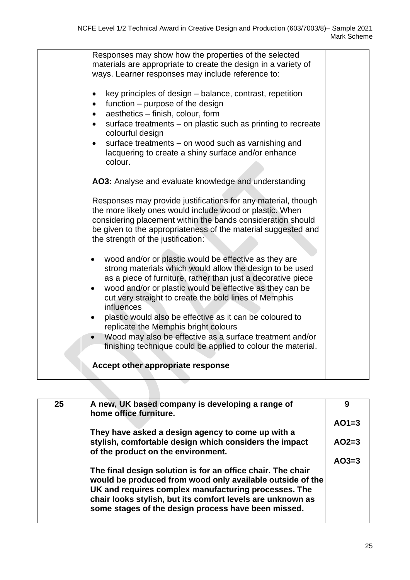| Responses may show how the properties of the selected                 |  |
|-----------------------------------------------------------------------|--|
| materials are appropriate to create the design in a variety of        |  |
| ways. Learner responses may include reference to:                     |  |
|                                                                       |  |
| key principles of design - balance, contrast, repetition<br>$\bullet$ |  |
| function – purpose of the design<br>$\bullet$                         |  |
| aesthetics - finish, colour, form<br>$\bullet$                        |  |
| surface treatments – on plastic such as printing to recreate          |  |
| colourful design                                                      |  |
|                                                                       |  |
| surface treatments – on wood such as varnishing and                   |  |
| lacquering to create a shiny surface and/or enhance                   |  |
| colour.                                                               |  |
|                                                                       |  |
| AO3: Analyse and evaluate knowledge and understanding                 |  |
|                                                                       |  |
| Responses may provide justifications for any material, though         |  |
| the more likely ones would include wood or plastic. When              |  |
| considering placement within the bands consideration should           |  |
| be given to the appropriateness of the material suggested and         |  |
| the strength of the justification:                                    |  |
|                                                                       |  |
| wood and/or or plastic would be effective as they are                 |  |
| strong materials which would allow the design to be used              |  |
| as a piece of furniture, rather than just a decorative piece          |  |
| wood and/or or plastic would be effective as they can be<br>$\bullet$ |  |
|                                                                       |  |
| cut very straight to create the bold lines of Memphis                 |  |
| influences                                                            |  |
| plastic would also be effective as it can be coloured to              |  |
| replicate the Memphis bright colours                                  |  |
| Wood may also be effective as a surface treatment and/or<br>$\bullet$ |  |
| finishing technique could be applied to colour the material.          |  |
|                                                                       |  |
| Accept other appropriate response                                     |  |
|                                                                       |  |

| 9       |
|---------|
| $AO1=3$ |
|         |
| $AO2=3$ |
| $AO3=3$ |
|         |
|         |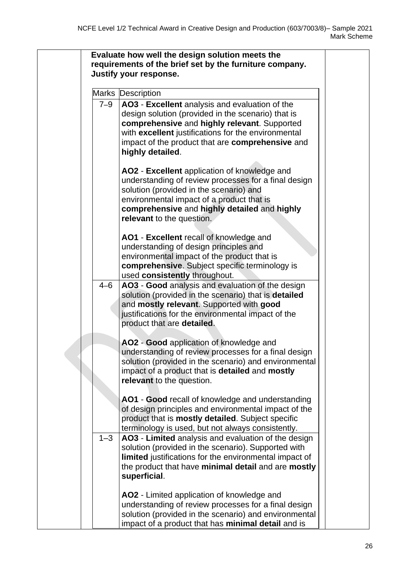|         | <b>Marks Description</b>                                                                                                                                                                                                                                                            |
|---------|-------------------------------------------------------------------------------------------------------------------------------------------------------------------------------------------------------------------------------------------------------------------------------------|
| $7 - 9$ | AO3 - Excellent analysis and evaluation of the<br>design solution (provided in the scenario) that is<br>comprehensive and highly relevant. Supported<br>with excellent justifications for the environmental<br>impact of the product that are comprehensive and<br>highly detailed. |
|         | AO2 - Excellent application of knowledge and<br>understanding of review processes for a final design<br>solution (provided in the scenario) and<br>environmental impact of a product that is<br>comprehensive and highly detailed and highly<br>relevant to the question.           |
|         | AO1 - Excellent recall of knowledge and<br>understanding of design principles and<br>environmental impact of the product that is<br>comprehensive. Subject specific terminology is<br>used consistently throughout.                                                                 |
| $4 - 6$ | AO3 - Good analysis and evaluation of the design<br>solution (provided in the scenario) that is detailed<br>and mostly relevant. Supported with good<br>justifications for the environmental impact of the<br>product that are detailed.                                            |
|         | AO2 - Good application of knowledge and<br>understanding of review processes for a final design<br>solution (provided in the scenario) and environmental<br>impact of a product that is detailed and mostly<br>relevant to the question.                                            |
|         | AO1 - Good recall of knowledge and understanding<br>of design principles and environmental impact of the<br>product that is mostly detailed. Subject specific<br>terminology is used, but not always consistently.                                                                  |
| $1 - 3$ | AO3 - Limited analysis and evaluation of the design<br>solution (provided in the scenario). Supported with<br>limited justifications for the environmental impact of<br>the product that have minimal detail and are mostly<br>superficial.                                         |
|         | AO2 - Limited application of knowledge and<br>understanding of review processes for a final design<br>solution (provided in the scenario) and environmental<br>impact of a product that has minimal detail and is                                                                   |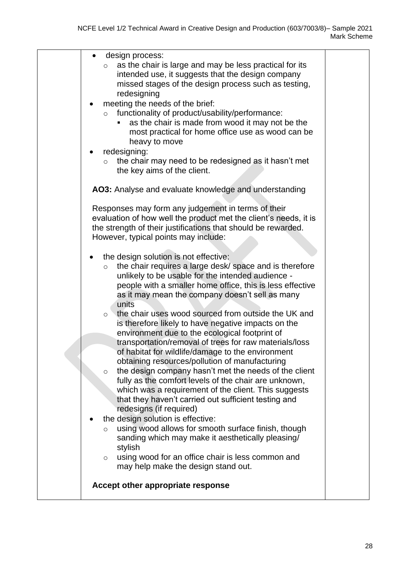| design process:<br>as the chair is large and may be less practical for its<br>$\circ$<br>intended use, it suggests that the design company<br>missed stages of the design process such as testing,<br>redesigning<br>meeting the needs of the brief:<br>functionality of product/usability/performance:<br>$\circ$<br>as the chair is made from wood it may not be the<br>most practical for home office use as wood can be<br>heavy to move<br>redesigning:<br>the chair may need to be redesigned as it hasn't met<br>$\circ$<br>the key aims of the client.                                                                                                                                                                                                                                                                                                                                                                                                                                                                                                |  |
|---------------------------------------------------------------------------------------------------------------------------------------------------------------------------------------------------------------------------------------------------------------------------------------------------------------------------------------------------------------------------------------------------------------------------------------------------------------------------------------------------------------------------------------------------------------------------------------------------------------------------------------------------------------------------------------------------------------------------------------------------------------------------------------------------------------------------------------------------------------------------------------------------------------------------------------------------------------------------------------------------------------------------------------------------------------|--|
| AO3: Analyse and evaluate knowledge and understanding                                                                                                                                                                                                                                                                                                                                                                                                                                                                                                                                                                                                                                                                                                                                                                                                                                                                                                                                                                                                         |  |
| Responses may form any judgement in terms of their<br>evaluation of how well the product met the client's needs, it is<br>the strength of their justifications that should be rewarded.<br>However, typical points may include:<br>the design solution is not effective:<br>the chair requires a large desk/ space and is therefore<br>$\circ$<br>unlikely to be usable for the intended audience -<br>people with a smaller home office, this is less effective<br>as it may mean the company doesn't sell as many<br>units<br>the chair uses wood sourced from outside the UK and<br>$\circ$<br>is therefore likely to have negative impacts on the<br>environment due to the ecological footprint of<br>transportation/removal of trees for raw materials/loss<br>of habitat for wildlife/damage to the environment<br>obtaining resources/pollution of manufacturing<br>the design company hasn't met the needs of the client<br>$\circ$<br>fully as the comfort levels of the chair are unknown,<br>which was a requirement of the client. This suggests |  |
| that they haven't carried out sufficient testing and<br>redesigns (if required)                                                                                                                                                                                                                                                                                                                                                                                                                                                                                                                                                                                                                                                                                                                                                                                                                                                                                                                                                                               |  |
| the design solution is effective:<br>using wood allows for smooth surface finish, though<br>$\circ$<br>sanding which may make it aesthetically pleasing/<br>stylish<br>using wood for an office chair is less common and<br>$\circ$<br>may help make the design stand out.                                                                                                                                                                                                                                                                                                                                                                                                                                                                                                                                                                                                                                                                                                                                                                                    |  |
| Accept other appropriate response                                                                                                                                                                                                                                                                                                                                                                                                                                                                                                                                                                                                                                                                                                                                                                                                                                                                                                                                                                                                                             |  |
|                                                                                                                                                                                                                                                                                                                                                                                                                                                                                                                                                                                                                                                                                                                                                                                                                                                                                                                                                                                                                                                               |  |